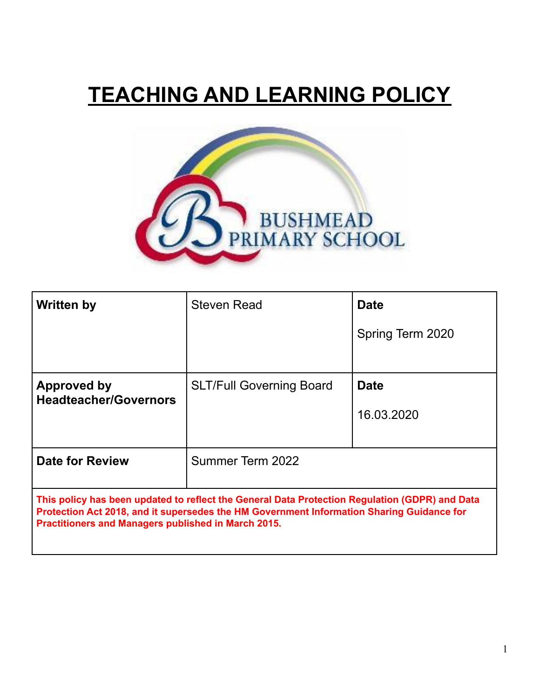# **TEACHING AND LEARNING POLICY**



| <b>Written by</b>                                                                                                                                                                                                                                  | Steven Read                     | <b>Date</b>      |
|----------------------------------------------------------------------------------------------------------------------------------------------------------------------------------------------------------------------------------------------------|---------------------------------|------------------|
|                                                                                                                                                                                                                                                    |                                 | Spring Term 2020 |
|                                                                                                                                                                                                                                                    |                                 |                  |
| Approved by                                                                                                                                                                                                                                        | <b>SLT/Full Governing Board</b> | <b>Date</b>      |
| <b>Headteacher/Governors</b>                                                                                                                                                                                                                       |                                 | 16.03.2020       |
| <b>Date for Review</b>                                                                                                                                                                                                                             | Summer Term 2022                |                  |
| This policy has been updated to reflect the General Data Protection Regulation (GDPR) and Data<br>Protection Act 2018, and it supersedes the HM Government Information Sharing Guidance for<br>Practitioners and Managers published in March 2015. |                                 |                  |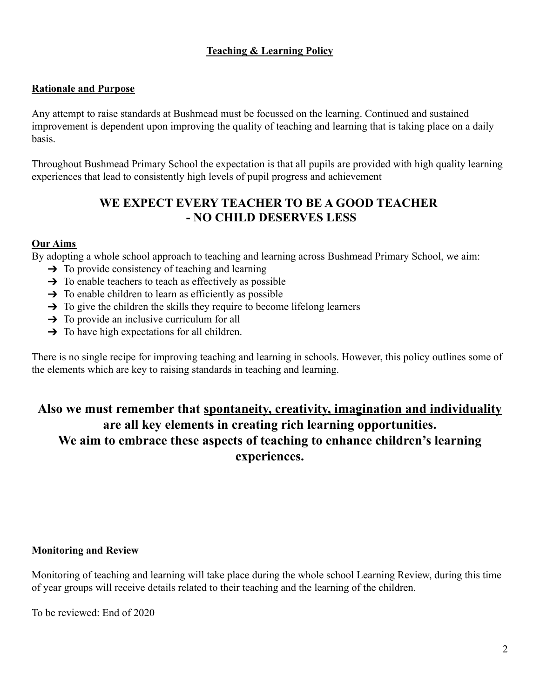# **Teaching & Learning Policy**

#### **Rationale and Purpose**

Any attempt to raise standards at Bushmead must be focussed on the learning. Continued and sustained improvement is dependent upon improving the quality of teaching and learning that is taking place on a daily basis.

Throughout Bushmead Primary School the expectation is that all pupils are provided with high quality learning experiences that lead to consistently high levels of pupil progress and achievement

# **WE EXPECT EVERY TEACHER TO BE A GOOD TEACHER - NO CHILD DESERVES LESS**

#### **Our Aims**

By adopting a whole school approach to teaching and learning across Bushmead Primary School, we aim:

- $\rightarrow$  To provide consistency of teaching and learning
- $\rightarrow$  To enable teachers to teach as effectively as possible
- $\rightarrow$  To enable children to learn as efficiently as possible
- $\rightarrow$  To give the children the skills they require to become lifelong learners
- $\rightarrow$  To provide an inclusive curriculum for all
- $\rightarrow$  To have high expectations for all children.

There is no single recipe for improving teaching and learning in schools. However, this policy outlines some of the elements which are key to raising standards in teaching and learning.

# **Also we must remember that spontaneity, creativity, imagination and individuality are all key elements in creating rich learning opportunities. We aim to embrace these aspects of teaching to enhance children's learning experiences.**

#### **Monitoring and Review**

Monitoring of teaching and learning will take place during the whole school Learning Review, during this time of year groups will receive details related to their teaching and the learning of the children.

To be reviewed: End of 2020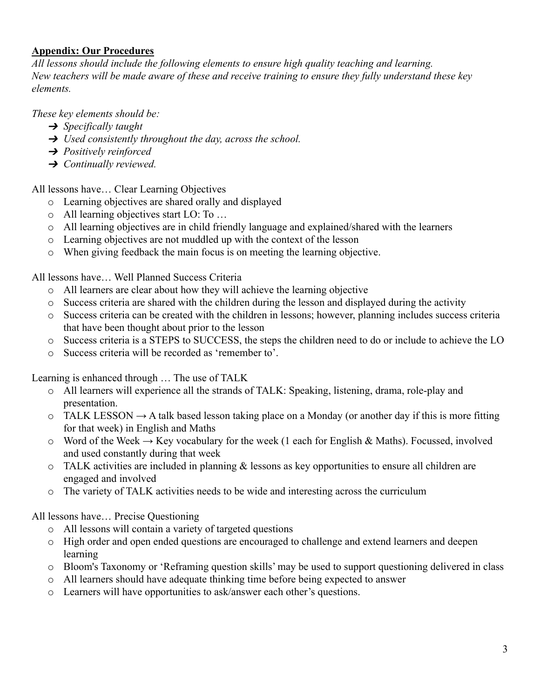## **Appendix: Our Procedures**

*All lessons should include the following elements to ensure high quality teaching and learning. New teachers will be made aware of these and receive training to ensure they fully understand these key elements.*

*These key elements should be:*

- ➔ *Specifically taught*
- ➔ *Used consistently throughout the day, across the school.*
- ➔ *Positively reinforced*
- ➔ *Continually reviewed.*

All lessons have… Clear Learning Objectives

- o Learning objectives are shared orally and displayed
- o All learning objectives start LO: To …
- o All learning objectives are in child friendly language and explained/shared with the learners
- o Learning objectives are not muddled up with the context of the lesson
- o When giving feedback the main focus is on meeting the learning objective.

All lessons have… Well Planned Success Criteria

- o All learners are clear about how they will achieve the learning objective
- o Success criteria are shared with the children during the lesson and displayed during the activity
- o Success criteria can be created with the children in lessons; however, planning includes success criteria that have been thought about prior to the lesson
- o Success criteria is a STEPS to SUCCESS, the steps the children need to do or include to achieve the LO
- o Success criteria will be recorded as 'remember to'.

Learning is enhanced through … The use of TALK

- o All learners will experience all the strands of TALK: Speaking, listening, drama, role-play and presentation.
- $\circ$  TALK LESSON  $\rightarrow$  A talk based lesson taking place on a Monday (or another day if this is more fitting for that week) in English and Maths
- o Word of the Week  $\rightarrow$  Key vocabulary for the week (1 each for English & Maths). Focussed, involved and used constantly during that week
- o TALK activities are included in planning & lessons as key opportunities to ensure all children are engaged and involved
- o The variety of TALK activities needs to be wide and interesting across the curriculum

All lessons have… Precise Questioning

- o All lessons will contain a variety of targeted questions
- o High order and open ended questions are encouraged to challenge and extend learners and deepen learning
- o Bloom's Taxonomy or 'Reframing question skills' may be used to support questioning delivered in class
- o All learners should have adequate thinking time before being expected to answer
- o Learners will have opportunities to ask/answer each other's questions.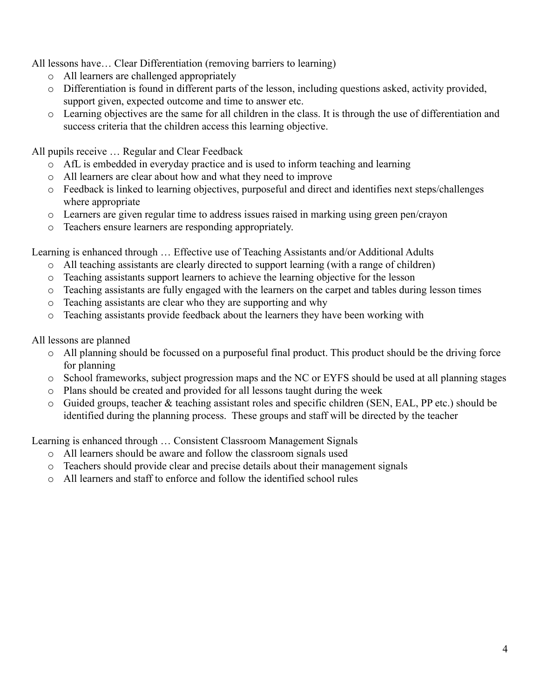All lessons have… Clear Differentiation (removing barriers to learning)

- o All learners are challenged appropriately
- o Differentiation is found in different parts of the lesson, including questions asked, activity provided, support given, expected outcome and time to answer etc.
- o Learning objectives are the same for all children in the class. It is through the use of differentiation and success criteria that the children access this learning objective.

All pupils receive … Regular and Clear Feedback

- o AfL is embedded in everyday practice and is used to inform teaching and learning
- o All learners are clear about how and what they need to improve
- o Feedback is linked to learning objectives, purposeful and direct and identifies next steps/challenges where appropriate
- o Learners are given regular time to address issues raised in marking using green pen/crayon
- o Teachers ensure learners are responding appropriately.

Learning is enhanced through … Effective use of Teaching Assistants and/or Additional Adults

- o All teaching assistants are clearly directed to support learning (with a range of children)
- o Teaching assistants support learners to achieve the learning objective for the lesson
- o Teaching assistants are fully engaged with the learners on the carpet and tables during lesson times
- o Teaching assistants are clear who they are supporting and why
- o Teaching assistants provide feedback about the learners they have been working with

All lessons are planned

- o All planning should be focussed on a purposeful final product. This product should be the driving force for planning
- o School frameworks, subject progression maps and the NC or EYFS should be used at all planning stages
- o Plans should be created and provided for all lessons taught during the week
- o Guided groups, teacher & teaching assistant roles and specific children (SEN, EAL, PP etc.) should be identified during the planning process. These groups and staff will be directed by the teacher

Learning is enhanced through … Consistent Classroom Management Signals

- o All learners should be aware and follow the classroom signals used
- o Teachers should provide clear and precise details about their management signals
- o All learners and staff to enforce and follow the identified school rules